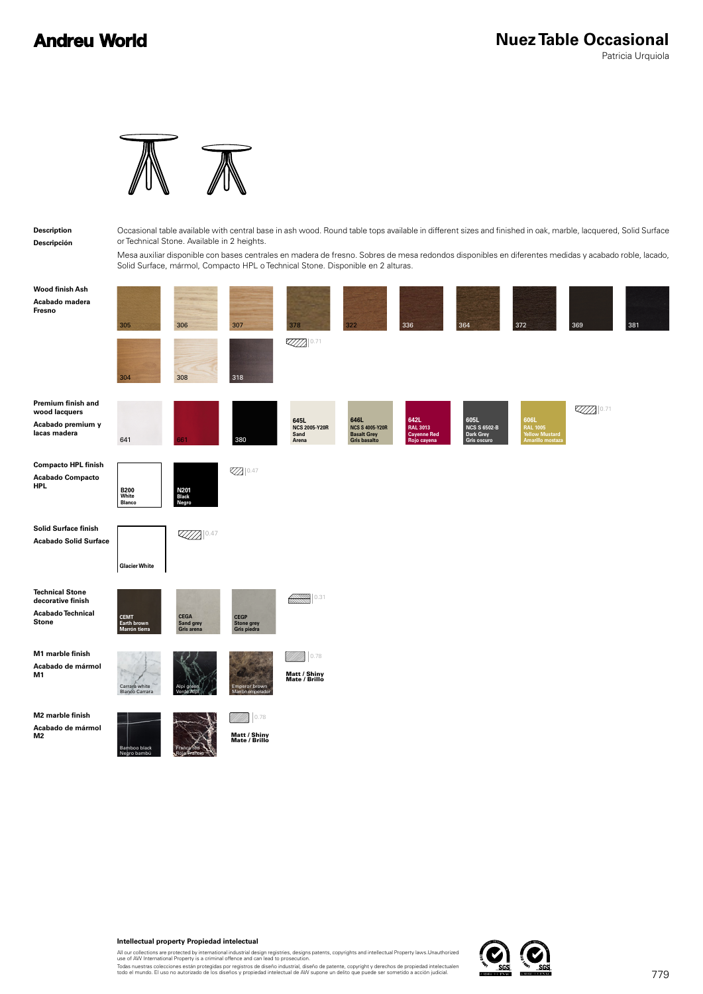## **Andreu World**

Patricia Urquiola



## **Description Descripción**

Occasional table available with central base in ash wood. Round table tops available in different sizes and finished in oak, marble, lacquered, Solid Surface or Technical Stone. Available in 2 heights.

Mesa auxiliar disponible con bases centrales en madera de fresno. Sobres de mesa redondos disponibles en diferentes medidas y acabado roble, lacado, Solid Surface, mármol, Compacto HPL o Technical Stone. Disponible en 2 alturas.

| Wood finish Ash<br>Acabado madera<br>Fresno                                      | 305<br>304                                  | 306<br>308                      | 307<br>318                                      | 378<br>0.71                                   | 322                                                                  | 336                                                   | 364                                                     | 372                                                                  | 369  | 381 |
|----------------------------------------------------------------------------------|---------------------------------------------|---------------------------------|-------------------------------------------------|-----------------------------------------------|----------------------------------------------------------------------|-------------------------------------------------------|---------------------------------------------------------|----------------------------------------------------------------------|------|-----|
| Premium finish and<br>wood lacquers<br>Acabado premium y<br>lacas madera         | 641                                         | 361                             | 380                                             | 645L<br><b>NCS 2005-Y20R</b><br>Sand<br>Arena | 646L<br><b>NCS S 4005-Y20R</b><br><b>Basalt Grey</b><br>Gris basalto | 642L<br><b>RAL 3013</b><br>Cayenne Red<br>Rojo cayena | 605L<br><b>NCS S 6502-B</b><br>Dark Grey<br>Gris oscuro | 606L<br><b>RAL 1005</b><br><b>Yellow Mustard</b><br>Amarillo mostaza | 0.71 |     |
| <b>Compacto HPL finish</b><br><b>Acabado Compacto</b><br><b>HPL</b>              | B200<br>White<br><b>Blanco</b>              | N201<br>Black<br>Negro          | <b>Z</b> 0.47                                   |                                               |                                                                      |                                                       |                                                         |                                                                      |      |     |
| Solid Surface finish<br><b>Acabado Solid Surface</b>                             | <b>Glacier White</b>                        | $ZZZZ$ 0.47                     |                                                 |                                               |                                                                      |                                                       |                                                         |                                                                      |      |     |
| <b>Technical Stone</b><br>decorative finish<br>Acabado Technical<br><b>Stone</b> | <b>CEMT</b><br>Earth brown<br>Marrón tierra | CEGA<br>Sand grey<br>Gris arena | <b>CEGP</b><br><b>Stone grey</b><br>Gris piedra | ▒▒▒<br>0.31                                   |                                                                      |                                                       |                                                         |                                                                      |      |     |
| M1 marble finish<br>Acabado de mármol<br>M1                                      | Carrara white<br><b>Blanco Carrara</b>      | Alpi<br>Verde                   | <b>Emperor brown</b><br>Marrón emperador        | 0.78<br>Matt / Shiny<br>Mate / Brillo         |                                                                      |                                                       |                                                         |                                                                      |      |     |
| M2 marble finish<br>Acabado de mármol<br>M2                                      | Bamboo black<br>Negro bambú                 | France red                      | 0.78<br>Matt / Shiny<br>Mate / Brillo           |                                               |                                                                      |                                                       |                                                         |                                                                      |      |     |

All our collections are protected by international industrial design registries, designs patents, copyrights and intellectual Property laws.Unauthorized<br>use of AW International Property is a criminal offence and can lead t

Todas nuestras colecciones están protegidas por registros de diseño industrial, diseño de patente, copyright y derechos de propiedad intelectualen<br>todo el mundo. El uso no autorizado de los diseños y propiedad intelectual